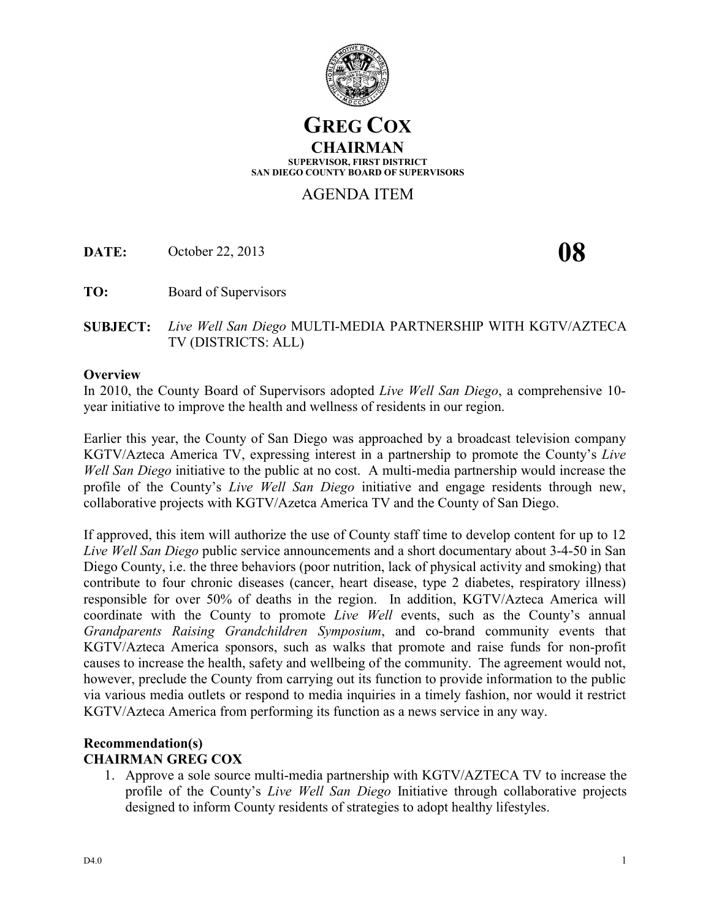

# **GREG COX CHAIRMAN SUPERVISOR, FIRST DISTRICT SAN DIEGO COUNTY BOARD OF SUPERVISORS**

# AGENDA ITEM

**DATE:** October 22, 2013 **08** 

**TO:** Board of Supervisors

**SUBJECT:** *Live Well San Diego* MULTI-MEDIA PARTNERSHIP WITH KGTV/AZTECA TV (DISTRICTS: ALL)

### **Overview**

In 2010, the County Board of Supervisors adopted *Live Well San Diego*, a comprehensive 10 year initiative to improve the health and wellness of residents in our region.

Earlier this year, the County of San Diego was approached by a broadcast television company KGTV/Azteca America TV, expressing interest in a partnership to promote the County's *Live Well San Diego* initiative to the public at no cost. A multi-media partnership would increase the profile of the County's *Live Well San Diego* initiative and engage residents through new, collaborative projects with KGTV/Azetca America TV and the County of San Diego.

If approved, this item will authorize the use of County staff time to develop content for up to 12 *Live Well San Diego* public service announcements and a short documentary about 3-4-50 in San Diego County, i.e. the three behaviors (poor nutrition, lack of physical activity and smoking) that contribute to four chronic diseases (cancer, heart disease, type 2 diabetes, respiratory illness) responsible for over 50% of deaths in the region. In addition, KGTV/Azteca America will coordinate with the County to promote *Live Well* events, such as the County's annual *Grandparents Raising Grandchildren Symposium*, and co-brand community events that KGTV/Azteca America sponsors, such as walks that promote and raise funds for non-profit causes to increase the health, safety and wellbeing of the community. The agreement would not, however, preclude the County from carrying out its function to provide information to the public via various media outlets or respond to media inquiries in a timely fashion, nor would it restrict KGTV/Azteca America from performing its function as a news service in any way.

## **Recommendation(s) CHAIRMAN GREG COX**

1. Approve a sole source multi-media partnership with KGTV/AZTECA TV to increase the profile of the County's *Live Well San Diego* Initiative through collaborative projects designed to inform County residents of strategies to adopt healthy lifestyles.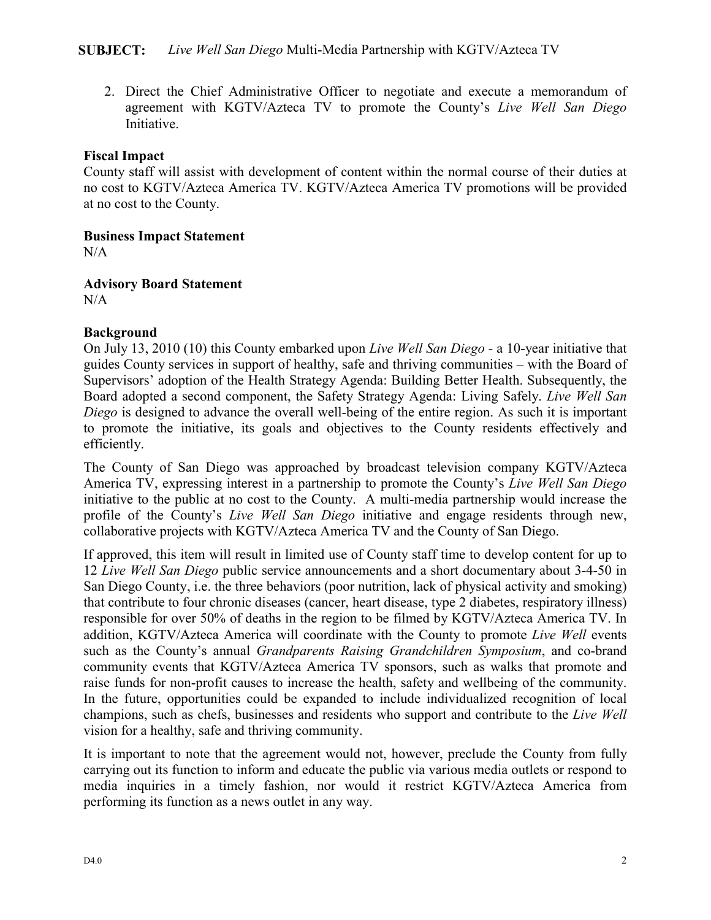2. Direct the Chief Administrative Officer to negotiate and execute a memorandum of agreement with KGTV/Azteca TV to promote the County's *Live Well San Diego* Initiative.

## **Fiscal Impact**

County staff will assist with development of content within the normal course of their duties at no cost to KGTV/Azteca America TV. KGTV/Azteca America TV promotions will be provided at no cost to the County.

**Business Impact Statement**

 $N/A$ 

**Advisory Board Statement**  $N/A$ 

## **Background**

On July 13, 2010 (10) this County embarked upon *Live Well San Diego -* a 10-year initiative that guides County services in support of healthy, safe and thriving communities – with the Board of Supervisors' adoption of the Health Strategy Agenda: Building Better Health. Subsequently, the Board adopted a second component, the Safety Strategy Agenda: Living Safely. *Live Well San Diego* is designed to advance the overall well-being of the entire region. As such it is important to promote the initiative, its goals and objectives to the County residents effectively and efficiently.

The County of San Diego was approached by broadcast television company KGTV/Azteca America TV, expressing interest in a partnership to promote the County's *Live Well San Diego* initiative to the public at no cost to the County. A multi-media partnership would increase the profile of the County's *Live Well San Diego* initiative and engage residents through new, collaborative projects with KGTV/Azteca America TV and the County of San Diego.

If approved, this item will result in limited use of County staff time to develop content for up to 12 *Live Well San Diego* public service announcements and a short documentary about 3-4-50 in San Diego County, i.e. the three behaviors (poor nutrition, lack of physical activity and smoking) that contribute to four chronic diseases (cancer, heart disease, type 2 diabetes, respiratory illness) responsible for over 50% of deaths in the region to be filmed by KGTV/Azteca America TV. In addition, KGTV/Azteca America will coordinate with the County to promote *Live Well* events such as the County's annual *Grandparents Raising Grandchildren Symposium*, and co-brand community events that KGTV/Azteca America TV sponsors, such as walks that promote and raise funds for non-profit causes to increase the health, safety and wellbeing of the community. In the future, opportunities could be expanded to include individualized recognition of local champions, such as chefs, businesses and residents who support and contribute to the *Live Well* vision for a healthy, safe and thriving community.

It is important to note that the agreement would not, however, preclude the County from fully carrying out its function to inform and educate the public via various media outlets or respond to media inquiries in a timely fashion, nor would it restrict KGTV/Azteca America from performing its function as a news outlet in any way.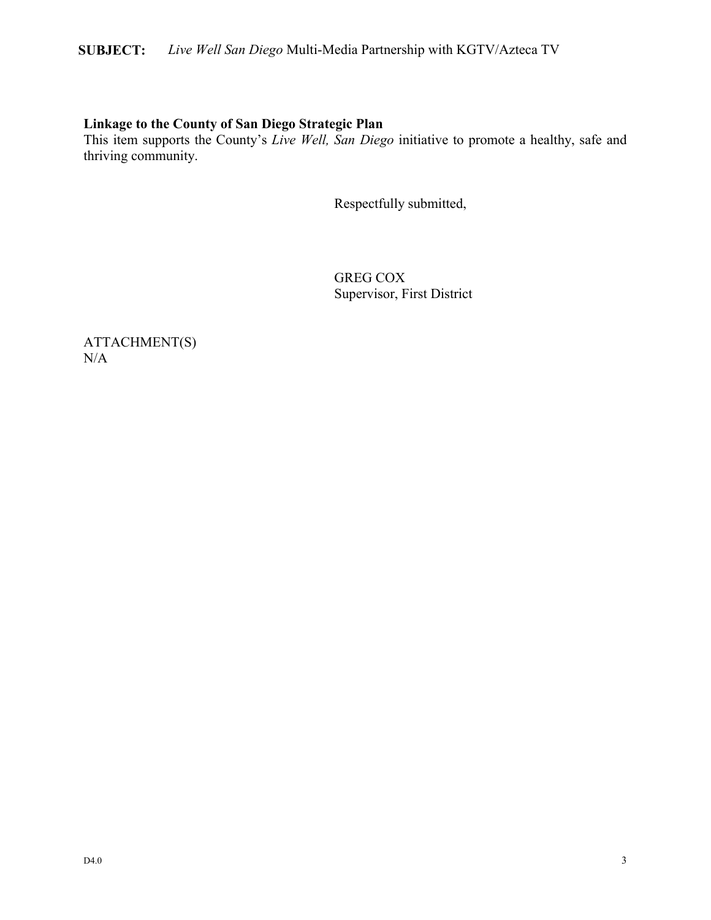# **SUBJECT:** *Live Well San Diego* Multi-Media Partnership with KGTV/Azteca TV

# **Linkage to the County of San Diego Strategic Plan**

This item supports the County's *Live Well, San Diego* initiative to promote a healthy, safe and thriving community.

Respectfully submitted,

GREG COX Supervisor, First District

ATTACHMENT(S) N/A